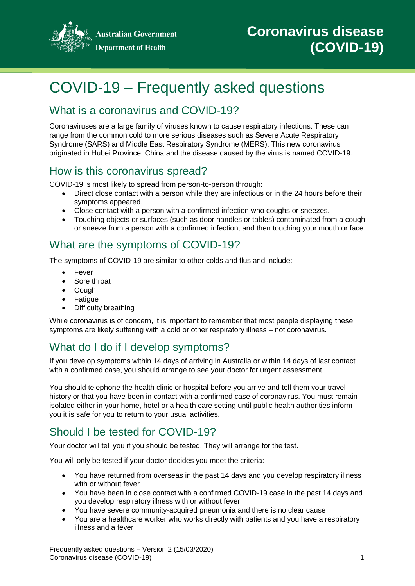

**Australian Government Department of Health** 

# COVID-19 – Frequently asked questions

## What is a coronavirus and COVID-19?

Coronaviruses are a large family of viruses known to cause respiratory infections. These can range from the common cold to more serious diseases such as Severe Acute Respiratory Syndrome (SARS) and Middle East Respiratory Syndrome (MERS). This new coronavirus originated in Hubei Province, China and the disease caused by the virus is named COVID-19.

#### How is this coronavirus spread?

COVID-19 is most likely to spread from person-to-person through:

- Direct close contact with a person while they are infectious or in the 24 hours before their symptoms appeared.
- Close contact with a person with a confirmed infection who coughs or sneezes.
- Touching objects or surfaces (such as door handles or tables) contaminated from a cough or sneeze from a person with a confirmed infection, and then touching your mouth or face.

#### What are the symptoms of COVID-19?

The symptoms of COVID-19 are similar to other colds and flus and include:

- Fever
- Sore throat
- Cough
- Fatigue
- Difficulty breathing

While coronavirus is of concern, it is important to remember that most people displaying these symptoms are likely suffering with a cold or other respiratory illness – not coronavirus.

# What do I do if I develop symptoms?

If you develop symptoms within 14 days of arriving in Australia or within 14 days of last contact with a confirmed case, you should arrange to see your doctor for urgent assessment.

You should telephone the health clinic or hospital before you arrive and tell them your travel history or that you have been in contact with a confirmed case of coronavirus. You must remain isolated either in your home, hotel or a health care setting until public health authorities inform you it is safe for you to return to your usual activities.

# Should I be tested for COVID-19?

Your doctor will tell you if you should be tested. They will arrange for the test.

You will only be tested if your doctor decides you meet the criteria:

- You have returned from overseas in the past 14 days and you develop respiratory illness with or without fever
- You have been in close contact with a confirmed COVID-19 case in the past 14 days and you develop respiratory illness with or without fever
- You have severe community-acquired pneumonia and there is no clear cause
- You are a healthcare worker who works directly with patients and you have a respiratory illness and a fever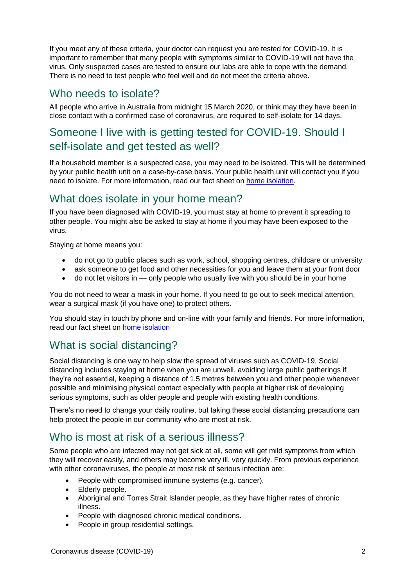If you meet any of these criteria, your doctor can request you are tested for COVID-19. It is important to remember that many people with symptoms similar to COVID-19 will not have the virus. Only suspected cases are tested to ensure our labs are able to cope with the demand. There is no need to test people who feel well and do not meet the criteria above.

#### Who needs to isolate?

All people who arrive in Australia from midnight 15 March 2020, or think may they have been in close contact with a confirmed case of coronavirus, are required to self-isolate for 14 days.

## Someone I live with is getting tested for COVID-19. Should I self-isolate and get tested as well?

If a household member is a suspected case, you may need to be isolated. This will be determined by your public health unit on a case-by-case basis. Your public health unit will contact you if you need to isolate. For more information, read our fact sheet on [home isolation.](https://www.health.gov.au/sites/default/files/documents/2020/03/coronavirus-covid-19-information-about-home-isolation-when-unwell-suspected-or-confirmed-cases.pdf)

#### What does isolate in your home mean?

If you have been diagnosed with COVID-19, you must stay at home to prevent it spreading to other people. You might also be asked to stay at home if you may have been exposed to the virus.

Staying at home means you:

- do not go to public places such as work, school, shopping centres, childcare or university
- ask someone to get food and other necessities for you and leave them at your front door
- do not let visitors in only people who usually live with you should be in your home

You do not need to wear a mask in your home. If you need to go out to seek medical attention, wear a surgical mask (if you have one) to protect others.

You should stay in touch by phone and on-line with your family and friends. For more information, read our fact sheet on [home isolation](https://www.health.gov.au/sites/default/files/documents/2020/03/coronavirus-covid-19-information-about-home-isolation-when-unwell-suspected-or-confirmed-cases.pdf)

## What is social distancing?

Social distancing is one way to help slow the spread of viruses such as COVID-19. Social distancing includes staying at home when you are unwell, avoiding large public gatherings if they're not essential, keeping a distance of 1.5 metres between you and other people whenever possible and minimising physical contact especially with people at higher risk of developing serious symptoms, such as older people and people with existing health conditions.

There's no need to change your daily routine, but taking these social distancing precautions can help protect the people in our community who are most at risk.

#### Who is most at risk of a serious illness?

Some people who are infected may not get sick at all, some will get mild symptoms from which they will recover easily, and others may become very ill, very quickly. From previous experience with other coronaviruses, the people at most risk of serious infection are:

- People with compromised immune systems (e.g. cancer).
- Elderly people.
- Aboriginal and Torres Strait Islander people, as they have higher rates of chronic illness.
- People with diagnosed chronic medical conditions.
- People in group residential settings.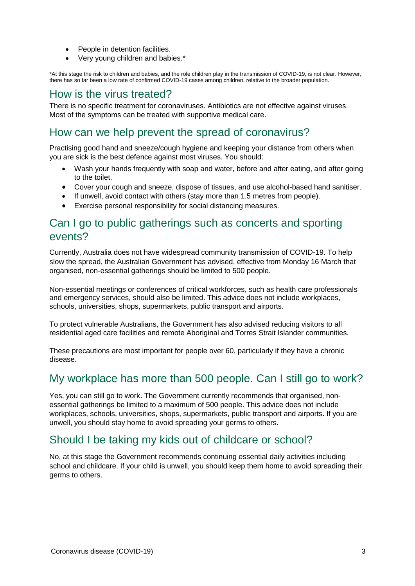- People in detention facilities.
- Very young children and babies.\*

\*At this stage the risk to children and babies, and the role children play in the transmission of COVID-19, is not clear. However, there has so far been a low rate of confirmed COVID-19 cases among children, relative to the broader population.

#### How is the virus treated?

There is no specific treatment for coronaviruses. Antibiotics are not effective against viruses. Most of the symptoms can be treated with supportive medical care.

#### How can we help prevent the spread of coronavirus?

Practising good hand and sneeze/cough hygiene and keeping your distance from others when you are sick is the best defence against most viruses. You should:

- Wash your hands frequently with soap and water, before and after eating, and after going to the toilet.
- Cover your cough and sneeze, dispose of tissues, and use alcohol-based hand sanitiser.
- If unwell, avoid contact with others (stay more than 1.5 metres from people).
- Exercise personal responsibility for social distancing measures.

#### Can I go to public gatherings such as concerts and sporting events?

Currently, Australia does not have widespread community transmission of COVID-19. To help slow the spread, the Australian Government has advised, effective from Monday 16 March that organised, non-essential gatherings should be limited to 500 people.

Non-essential meetings or conferences of critical workforces, such as health care professionals and emergency services, should also be limited. This advice does not include workplaces, schools, universities, shops, supermarkets, public transport and airports.

To protect vulnerable Australians, the Government has also advised reducing visitors to all residential aged care facilities and remote Aboriginal and Torres Strait Islander communities.

These precautions are most important for people over 60, particularly if they have a chronic disease.

#### My workplace has more than 500 people. Can I still go to work?

Yes, you can still go to work. The Government currently recommends that organised, nonessential gatherings be limited to a maximum of 500 people. This advice does not include workplaces, schools, universities, shops, supermarkets, public transport and airports. If you are unwell, you should stay home to avoid spreading your germs to others.

#### Should I be taking my kids out of childcare or school?

No, at this stage the Government recommends continuing essential daily activities including school and childcare. If your child is unwell, you should keep them home to avoid spreading their germs to others.